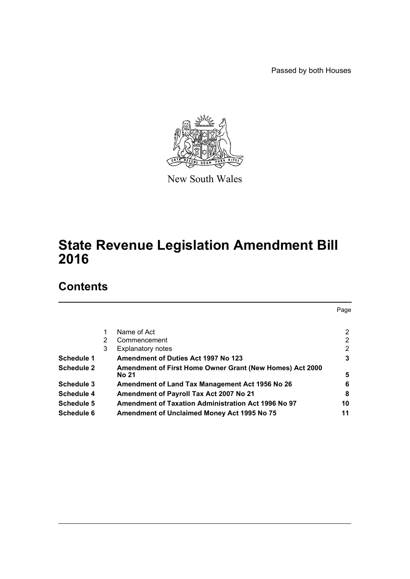Passed by both Houses



New South Wales

# **State Revenue Legislation Amendment Bill 2016**

# **Contents**

|                   |   |                                                          | Page           |
|-------------------|---|----------------------------------------------------------|----------------|
|                   |   | Name of Act                                              | $\overline{2}$ |
|                   | 2 | Commencement                                             | 2              |
|                   | 3 | <b>Explanatory notes</b>                                 | 2              |
| Schedule 1        |   | <b>Amendment of Duties Act 1997 No 123</b>               | 3              |
| <b>Schedule 2</b> |   | Amendment of First Home Owner Grant (New Homes) Act 2000 |                |
|                   |   | No 21                                                    | 5              |
| Schedule 3        |   | Amendment of Land Tax Management Act 1956 No 26          | 6              |
| Schedule 4        |   | Amendment of Payroll Tax Act 2007 No 21                  | 8              |
| Schedule 5        |   | Amendment of Taxation Administration Act 1996 No 97      | 10             |
| Schedule 6        |   | Amendment of Unclaimed Money Act 1995 No 75              | 11             |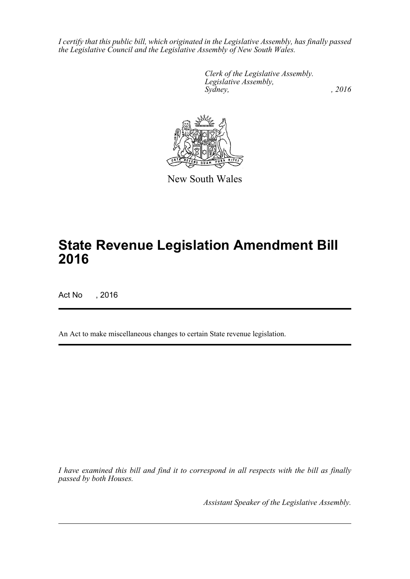*I certify that this public bill, which originated in the Legislative Assembly, has finally passed the Legislative Council and the Legislative Assembly of New South Wales.*

> *Clerk of the Legislative Assembly. Legislative Assembly, Sydney,* , 2016



New South Wales

# **State Revenue Legislation Amendment Bill 2016**

Act No , 2016

An Act to make miscellaneous changes to certain State revenue legislation.

*I have examined this bill and find it to correspond in all respects with the bill as finally passed by both Houses.*

*Assistant Speaker of the Legislative Assembly.*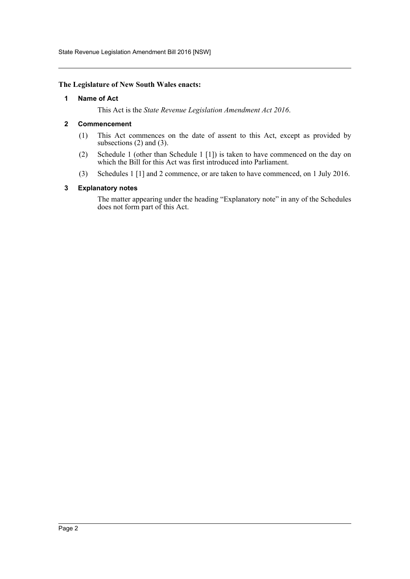State Revenue Legislation Amendment Bill 2016 [NSW]

### <span id="page-2-0"></span>**The Legislature of New South Wales enacts:**

### **1 Name of Act**

This Act is the *State Revenue Legislation Amendment Act 2016*.

## <span id="page-2-1"></span>**2 Commencement**

- (1) This Act commences on the date of assent to this Act, except as provided by subsections (2) and (3).
- (2) Schedule 1 (other than Schedule 1 [1]) is taken to have commenced on the day on which the Bill for this Act was first introduced into Parliament.
- (3) Schedules 1 [1] and 2 commence, or are taken to have commenced, on 1 July 2016.

## <span id="page-2-2"></span>**3 Explanatory notes**

The matter appearing under the heading "Explanatory note" in any of the Schedules does not form part of this Act.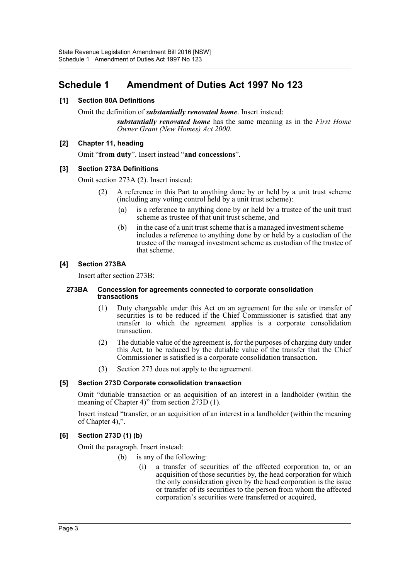## <span id="page-3-0"></span>**Schedule 1 Amendment of Duties Act 1997 No 123**

## **[1] Section 80A Definitions**

Omit the definition of *substantially renovated home*. Insert instead:

*substantially renovated home* has the same meaning as in the *First Home Owner Grant (New Homes) Act 2000*.

## **[2] Chapter 11, heading**

Omit "**from duty**". Insert instead "**and concessions**".

## **[3] Section 273A Definitions**

Omit section 273A (2). Insert instead:

- (2) A reference in this Part to anything done by or held by a unit trust scheme (including any voting control held by a unit trust scheme):
	- (a) is a reference to anything done by or held by a trustee of the unit trust scheme as trustee of that unit trust scheme, and
	- (b) in the case of a unit trust scheme that is a managed investment scheme includes a reference to anything done by or held by a custodian of the trustee of the managed investment scheme as custodian of the trustee of that scheme.

## **[4] Section 273BA**

Insert after section 273B:

#### **273BA Concession for agreements connected to corporate consolidation transactions**

- (1) Duty chargeable under this Act on an agreement for the sale or transfer of securities is to be reduced if the Chief Commissioner is satisfied that any transfer to which the agreement applies is a corporate consolidation transaction.
- (2) The dutiable value of the agreement is, for the purposes of charging duty under this Act, to be reduced by the dutiable value of the transfer that the Chief Commissioner is satisfied is a corporate consolidation transaction.
- (3) Section 273 does not apply to the agreement.

## **[5] Section 273D Corporate consolidation transaction**

Omit "dutiable transaction or an acquisition of an interest in a landholder (within the meaning of Chapter 4)" from section  $273D(1)$ .

Insert instead "transfer, or an acquisition of an interest in a landholder (within the meaning of Chapter 4),".

## **[6] Section 273D (1) (b)**

Omit the paragraph. Insert instead:

(b) is any of the following:

(i) a transfer of securities of the affected corporation to, or an acquisition of those securities by, the head corporation for which the only consideration given by the head corporation is the issue or transfer of its securities to the person from whom the affected corporation's securities were transferred or acquired,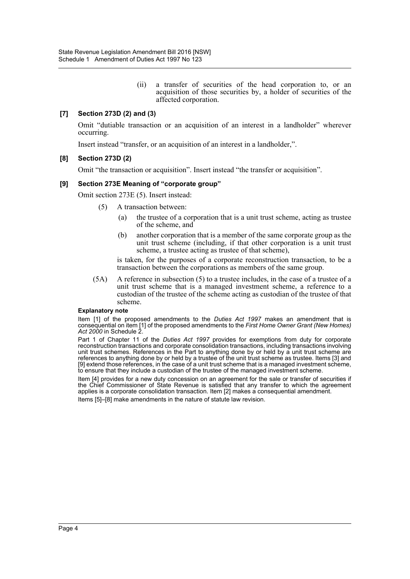(ii) a transfer of securities of the head corporation to, or an acquisition of those securities by, a holder of securities of the affected corporation.

## **[7] Section 273D (2) and (3)**

Omit "dutiable transaction or an acquisition of an interest in a landholder" wherever occurring.

Insert instead "transfer, or an acquisition of an interest in a landholder,".

### **[8] Section 273D (2)**

Omit "the transaction or acquisition". Insert instead "the transfer or acquisition".

### **[9] Section 273E Meaning of "corporate group"**

Omit section 273E (5). Insert instead:

- (5) A transaction between:
	- (a) the trustee of a corporation that is a unit trust scheme, acting as trustee of the scheme, and
	- (b) another corporation that is a member of the same corporate group as the unit trust scheme (including, if that other corporation is a unit trust scheme, a trustee acting as trustee of that scheme),

is taken, for the purposes of a corporate reconstruction transaction, to be a transaction between the corporations as members of the same group.

(5A) A reference in subsection (5) to a trustee includes, in the case of a trustee of a unit trust scheme that is a managed investment scheme, a reference to a custodian of the trustee of the scheme acting as custodian of the trustee of that scheme.

#### **Explanatory note**

Item [1] of the proposed amendments to the *Duties Act 1997* makes an amendment that is consequential on item [1] of the proposed amendments to the *First Home Owner Grant (New Homes) Act 2000* in Schedule 2.

Part 1 of Chapter 11 of the *Duties Act 1997* provides for exemptions from duty for corporate reconstruction transactions and corporate consolidation transactions, including transactions involving unit trust schemes. References in the Part to anything done by or held by a unit trust scheme are references to anything done by or held by a trustee of the unit trust scheme as trustee. Items [3] and [9] extend those references, in the case of a unit trust scheme that is a managed investment scheme, to ensure that they include a custodian of the trustee of the managed investment scheme.

Item [4] provides for a new duty concession on an agreement for the sale or transfer of securities if the Chief Commissioner of State Revenue is satisfied that any transfer to which the agreement applies is a corporate consolidation transaction. Item [2] makes a consequential amendment. Items [5]–[8] make amendments in the nature of statute law revision.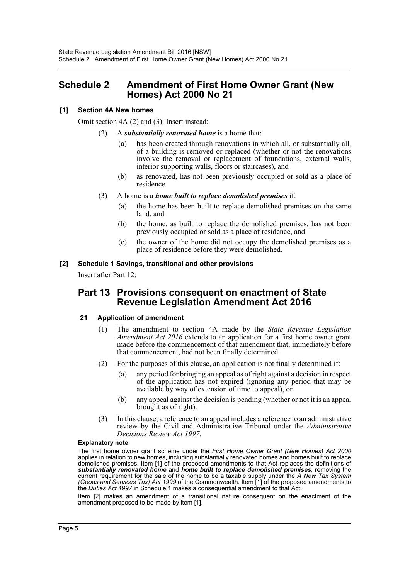## <span id="page-5-0"></span>**Schedule 2 Amendment of First Home Owner Grant (New Homes) Act 2000 No 21**

## **[1] Section 4A New homes**

Omit section 4A (2) and (3). Insert instead:

- (2) A *substantially renovated home* is a home that:
	- (a) has been created through renovations in which all, or substantially all, of a building is removed or replaced (whether or not the renovations involve the removal or replacement of foundations, external walls, interior supporting walls, floors or staircases), and
	- (b) as renovated, has not been previously occupied or sold as a place of residence.
- (3) A home is a *home built to replace demolished premises* if:
	- (a) the home has been built to replace demolished premises on the same land, and
	- (b) the home, as built to replace the demolished premises, has not been previously occupied or sold as a place of residence, and
	- (c) the owner of the home did not occupy the demolished premises as a place of residence before they were demolished.

## **[2] Schedule 1 Savings, transitional and other provisions**

Insert after Part 12:

## **Part 13 Provisions consequent on enactment of State Revenue Legislation Amendment Act 2016**

## **21 Application of amendment**

- (1) The amendment to section 4A made by the *State Revenue Legislation Amendment Act 2016* extends to an application for a first home owner grant made before the commencement of that amendment that, immediately before that commencement, had not been finally determined.
- (2) For the purposes of this clause, an application is not finally determined if:
	- (a) any period for bringing an appeal as of right against a decision in respect of the application has not expired (ignoring any period that may be available by way of extension of time to appeal), or
	- (b) any appeal against the decision is pending (whether or not it is an appeal brought as of right).
- (3) In this clause, a reference to an appeal includes a reference to an administrative review by the Civil and Administrative Tribunal under the *Administrative Decisions Review Act 1997*.

#### **Explanatory note**

The first home owner grant scheme under the *First Home Owner Grant (New Homes) Act 2000* applies in relation to new homes, including substantially renovated homes and homes built to replace demolished premises. Item [1] of the proposed amendments to that Act replaces the definitions of *substantially renovated home* and *home built to replace demolished premises*, removing the current requirement for the sale of the home to be a taxable supply under the *A New Tax System (Goods and Services Tax) Act 1999* of the Commonwealth. Item [1] of the proposed amendments to the *Duties Act 1997* in Schedule 1 makes a consequential amendment to that Act.

Item [2] makes an amendment of a transitional nature consequent on the enactment of the amendment proposed to be made by item [1].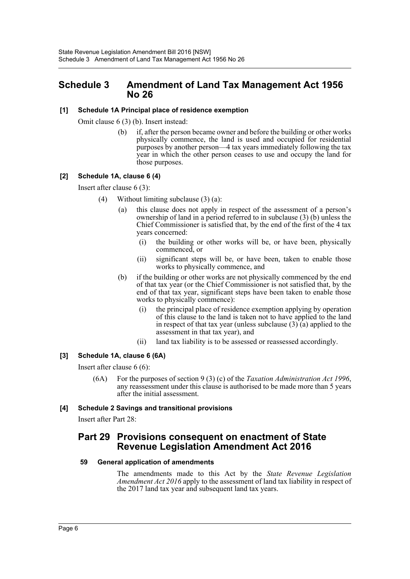## <span id="page-6-0"></span>**Schedule 3 Amendment of Land Tax Management Act 1956 No 26**

## **[1] Schedule 1A Principal place of residence exemption**

Omit clause 6 (3) (b). Insert instead:

(b) if, after the person became owner and before the building or other works physically commence, the land is used and occupied for residential purposes by another person—4 tax years immediately following the tax year in which the other person ceases to use and occupy the land for those purposes.

## **[2] Schedule 1A, clause 6 (4)**

Insert after clause 6 (3):

- (4) Without limiting subclause (3) (a):
	- (a) this clause does not apply in respect of the assessment of a person's ownership of land in a period referred to in subclause (3) (b) unless the Chief Commissioner is satisfied that, by the end of the first of the 4 tax years concerned:
		- (i) the building or other works will be, or have been, physically commenced, or
		- (ii) significant steps will be, or have been, taken to enable those works to physically commence, and
	- (b) if the building or other works are not physically commenced by the end of that tax year (or the Chief Commissioner is not satisfied that, by the end of that tax year, significant steps have been taken to enable those works to physically commence):
		- (i) the principal place of residence exemption applying by operation of this clause to the land is taken not to have applied to the land in respect of that tax year (unless subclause  $(3)$  (a) applied to the assessment in that tax year), and
		- (ii) land tax liability is to be assessed or reassessed accordingly.

## **[3] Schedule 1A, clause 6 (6A)**

Insert after clause 6 (6):

(6A) For the purposes of section 9 (3) (c) of the *Taxation Administration Act 1996*, any reassessment under this clause is authorised to be made more than 5 years after the initial assessment.

## **[4] Schedule 2 Savings and transitional provisions**

Insert after Part 28:

## **Part 29 Provisions consequent on enactment of State Revenue Legislation Amendment Act 2016**

## **59 General application of amendments**

The amendments made to this Act by the *State Revenue Legislation Amendment Act 2016* apply to the assessment of land tax liability in respect of the 2017 land tax year and subsequent land tax years.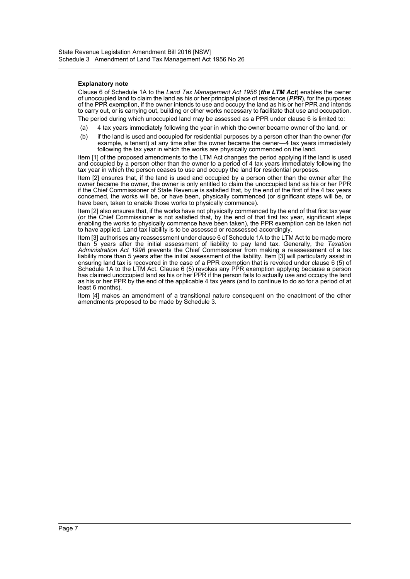#### **Explanatory note**

Clause 6 of Schedule 1A to the *Land Tax Management Act 1956* (*the LTM Act*) enables the owner of unoccupied land to claim the land as his or her principal place of residence (*PPR*), for the purposes of the PPR exemption, if the owner intends to use and occupy the land as his or her PPR and intends to carry out, or is carrying out, building or other works necessary to facilitate that use and occupation. The period during which unoccupied land may be assessed as a PPR under clause 6 is limited to:

(a) 4 tax years immediately following the year in which the owner became owner of the land, or

(b) if the land is used and occupied for residential purposes by a person other than the owner (for example, a tenant) at any time after the owner became the owner—4 tax years immediately following the tax year in which the works are physically commenced on the land.

Item [1] of the proposed amendments to the LTM Act changes the period applying if the land is used and occupied by a person other than the owner to a period of 4 tax years immediately following the tax year in which the person ceases to use and occupy the land for residential purposes.

Item [2] ensures that, if the land is used and occupied by a person other than the owner after the owner became the owner, the owner is only entitled to claim the unoccupied land as his or her PPR if the Chief Commissioner of State Revenue is satisfied that, by the end of the first of the 4 tax years concerned, the works will be, or have been, physically commenced (or significant steps will be, or have been, taken to enable those works to physically commence).

Item [2] also ensures that, if the works have not physically commenced by the end of that first tax year (or the Chief Commissioner is not satisfied that, by the end of that first tax year, significant steps enabling the works to physically commence have been taken), the PPR exemption can be taken not to have applied. Land tax liability is to be assessed or reassessed accordingly.

Item [3] authorises any reassessment under clause 6 of Schedule 1A to the LTM Act to be made more than 5 years after the initial assessment of liability to pay land tax. Generally, the *Taxation Administration Act 1996* prevents the Chief Commissioner from making a reassessment of a tax liability more than 5 years after the initial assessment of the liability. Item [3] will particularly assist in ensuring land tax is recovered in the case of a PPR exemption that is revoked under clause 6 (5) of Schedule 1A to the LTM Act. Clause 6 (5) revokes any PPR exemption applying because a person has claimed unoccupied land as his or her PPR if the person fails to actually use and occupy the land as his or her PPR by the end of the applicable 4 tax years (and to continue to do so for a period of at least 6 months).

Item [4] makes an amendment of a transitional nature consequent on the enactment of the other amendments proposed to be made by Schedule 3.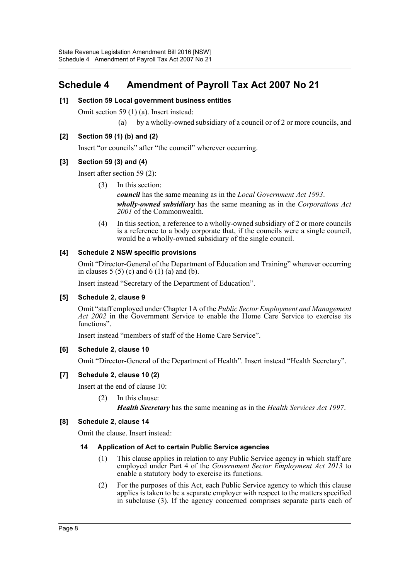## <span id="page-8-0"></span>**Schedule 4 Amendment of Payroll Tax Act 2007 No 21**

## **[1] Section 59 Local government business entities**

Omit section 59 (1) (a). Insert instead:

(a) by a wholly-owned subsidiary of a council or of 2 or more councils, and

## **[2] Section 59 (1) (b) and (2)**

Insert "or councils" after "the council" wherever occurring.

## **[3] Section 59 (3) and (4)**

Insert after section 59 (2):

(3) In this section:

*council* has the same meaning as in the *Local Government Act 1993*. *wholly-owned subsidiary* has the same meaning as in the *Corporations Act 2001* of the Commonwealth.

(4) In this section, a reference to a wholly-owned subsidiary of 2 or more councils is a reference to a body corporate that, if the councils were a single council, would be a wholly-owned subsidiary of the single council.

## **[4] Schedule 2 NSW specific provisions**

Omit "Director-General of the Department of Education and Training" wherever occurring in clauses  $5(5)(c)$  and  $6(1)(a)$  and  $(b)$ .

Insert instead "Secretary of the Department of Education".

## **[5] Schedule 2, clause 9**

Omit "staff employed under Chapter 1A of the *Public Sector Employment and Management Act 2002* in the Government Service to enable the Home Care Service to exercise its functions".

Insert instead "members of staff of the Home Care Service".

## **[6] Schedule 2, clause 10**

Omit "Director-General of the Department of Health". Insert instead "Health Secretary".

## **[7] Schedule 2, clause 10 (2)**

Insert at the end of clause 10:

(2) In this clause:

*Health Secretary* has the same meaning as in the *Health Services Act 1997*.

## **[8] Schedule 2, clause 14**

Omit the clause. Insert instead:

## **14 Application of Act to certain Public Service agencies**

- (1) This clause applies in relation to any Public Service agency in which staff are employed under Part 4 of the *Government Sector Employment Act 2013* to enable a statutory body to exercise its functions.
- (2) For the purposes of this Act, each Public Service agency to which this clause applies is taken to be a separate employer with respect to the matters specified in subclause (3). If the agency concerned comprises separate parts each of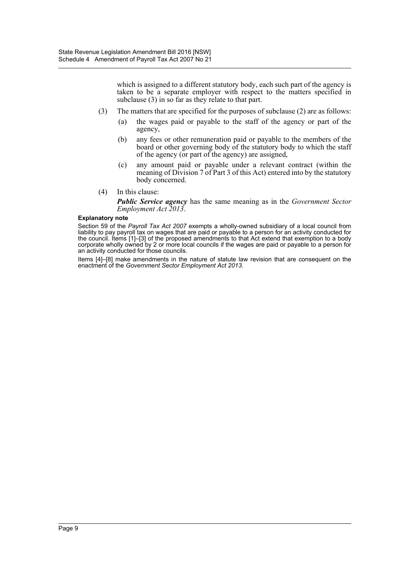which is assigned to a different statutory body, each such part of the agency is taken to be a separate employer with respect to the matters specified in subclause (3) in so far as they relate to that part.

- (3) The matters that are specified for the purposes of subclause (2) are as follows:
	- (a) the wages paid or payable to the staff of the agency or part of the agency,
	- (b) any fees or other remuneration paid or payable to the members of the board or other governing body of the statutory body to which the staff of the agency (or part of the agency) are assigned,
	- (c) any amount paid or payable under a relevant contract (within the meaning of Division 7 of Part 3 of this Act) entered into by the statutory body concerned.
- (4) In this clause:

*Public Service agency* has the same meaning as in the *Government Sector Employment Act 2013*.

#### **Explanatory note**

Section 59 of the *Payroll Tax Act 2007* exempts a wholly-owned subsidiary of a local council from liability to pay payroll tax on wages that are paid or payable to a person for an activity conducted for the council. Items [1]–[3] of the proposed amendments to that Act extend that exemption to a body corporate wholly owned by 2 or more local councils if the wages are paid or payable to a person for an activity conducted for those councils.

Items [4]–[8] make amendments in the nature of statute law revision that are consequent on the enactment of the *Government Sector Employment Act 2013*.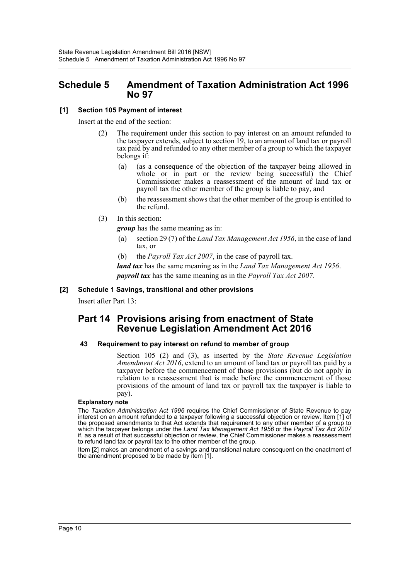## <span id="page-10-0"></span>**Schedule 5 Amendment of Taxation Administration Act 1996 No 97**

## **[1] Section 105 Payment of interest**

Insert at the end of the section:

- (2) The requirement under this section to pay interest on an amount refunded to the taxpayer extends, subject to section 19, to an amount of land tax or payroll tax paid by and refunded to any other member of a group to which the taxpayer belongs if:
	- (a) (as a consequence of the objection of the taxpayer being allowed in whole or in part or the review being successful) the Chief Commissioner makes a reassessment of the amount of land tax or payroll tax the other member of the group is liable to pay, and
	- (b) the reassessment shows that the other member of the group is entitled to the refund.
- (3) In this section:

*group* has the same meaning as in:

- (a) section 29 (7) of the *Land Tax Management Act 1956*, in the case of land tax, or
- (b) the *Payroll Tax Act 2007*, in the case of payroll tax.

*land tax* has the same meaning as in the *Land Tax Management Act 1956*. *payroll tax* has the same meaning as in the *Payroll Tax Act 2007*.

## **[2] Schedule 1 Savings, transitional and other provisions**

Insert after Part 13:

## **Part 14 Provisions arising from enactment of State Revenue Legislation Amendment Act 2016**

## **43 Requirement to pay interest on refund to member of group**

Section 105 (2) and (3), as inserted by the *State Revenue Legislation Amendment Act 2016*, extend to an amount of land tax or payroll tax paid by a taxpayer before the commencement of those provisions (but do not apply in relation to a reassessment that is made before the commencement of those provisions of the amount of land tax or payroll tax the taxpayer is liable to pay).

#### **Explanatory note**

The *Taxation Administration Act 1996* requires the Chief Commissioner of State Revenue to pay interest on an amount refunded to a taxpayer following a successful objection or review. Item [1] of the proposed amendments to that Act extends that requirement to any other member of a group to which the taxpayer belongs under the *Land Tax Management Act 1956* or the *Payroll Tax Act 2007* if, as a result of that successful objection or review, the Chief Commissioner makes a reassessment to refund land tax or payroll tax to the other member of the group.

Item [2] makes an amendment of a savings and transitional nature consequent on the enactment of the amendment proposed to be made by item [1].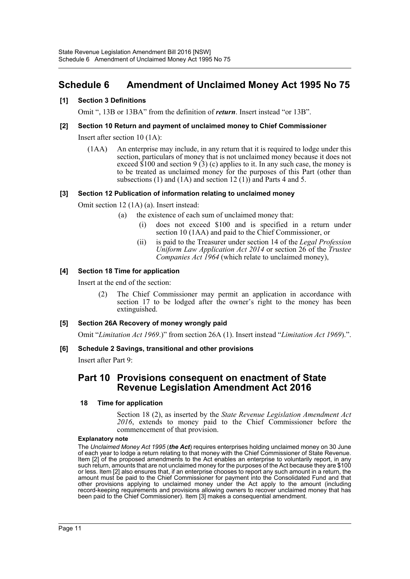## <span id="page-11-0"></span>**Schedule 6 Amendment of Unclaimed Money Act 1995 No 75**

## **[1] Section 3 Definitions**

Omit ", 13B or 13BA" from the definition of *return*. Insert instead "or 13B".

## **[2] Section 10 Return and payment of unclaimed money to Chief Commissioner**

Insert after section 10 (1A):

(1AA) An enterprise may include, in any return that it is required to lodge under this section, particulars of money that is not unclaimed money because it does not exceed  $$100$  and section 9(3) (c) applies to it. In any such case, the money is to be treated as unclaimed money for the purposes of this Part (other than subsections (1) and (1A) and section 12 (1)) and Parts 4 and 5.

## **[3] Section 12 Publication of information relating to unclaimed money**

Omit section 12 (1A) (a). Insert instead:

- (a) the existence of each sum of unclaimed money that:
	- does not exceed \$100 and is specified in a return under section 10 (1AA) and paid to the Chief Commissioner, or
	- (ii) is paid to the Treasurer under section 14 of the *Legal Profession Uniform Law Application Act 2014* or section 26 of the *Trustee Companies Act 1964* (which relate to unclaimed money),

## **[4] Section 18 Time for application**

Insert at the end of the section:

(2) The Chief Commissioner may permit an application in accordance with section 17 to be lodged after the owner's right to the money has been extinguished.

## **[5] Section 26A Recovery of money wrongly paid**

Omit "*Limitation Act 1969*.)" from section 26A (1). Insert instead "*Limitation Act 1969*).".

## **[6] Schedule 2 Savings, transitional and other provisions**

Insert after Part 9:

## **Part 10 Provisions consequent on enactment of State Revenue Legislation Amendment Act 2016**

## **18 Time for application**

Section 18 (2), as inserted by the *State Revenue Legislation Amendment Act 2016*, extends to money paid to the Chief Commissioner before the commencement of that provision.

## **Explanatory note**

The *Unclaimed Money Act 1995* (*the Act*) requires enterprises holding unclaimed money on 30 June of each year to lodge a return relating to that money with the Chief Commissioner of State Revenue. Item [2] of the proposed amendments to the Act enables an enterprise to voluntarily report, in any such return, amounts that are not unclaimed money for the purposes of the Act because they are \$100 or less. Item [2] also ensures that, if an enterprise chooses to report any such amount in a return, the amount must be paid to the Chief Commissioner for payment into the Consolidated Fund and that other provisions applying to unclaimed money under the Act apply to the amount (including record-keeping requirements and provisions allowing owners to recover unclaimed money that has been paid to the Chief Commissioner). Item [3] makes a consequential amendment.